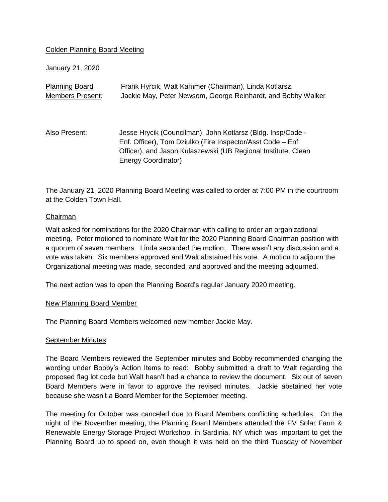## Colden Planning Board Meeting

January 21, 2020

| <b>Planning Board</b> | Frank Hyrcik, Walt Kammer (Chairman), Linda Kotlarsz,                                                                                                                                                                     |
|-----------------------|---------------------------------------------------------------------------------------------------------------------------------------------------------------------------------------------------------------------------|
| Members Present:      | Jackie May, Peter Newsom, George Reinhardt, and Bobby Walker                                                                                                                                                              |
| Also Present:         | Jesse Hrycik (Councilman), John Kotlarsz (Bldg. Insp/Code -<br>Enf. Officer), Tom Dziulko (Fire Inspector/Asst Code – Enf.<br>Officer), and Jason Kulaszewski (UB Regional Institute, Clean<br><b>Energy Coordinator)</b> |

The January 21, 2020 Planning Board Meeting was called to order at 7:00 PM in the courtroom at the Colden Town Hall.

### Chairman

Walt asked for nominations for the 2020 Chairman with calling to order an organizational meeting. Peter motioned to nominate Walt for the 2020 Planning Board Chairman position with a quorum of seven members. Linda seconded the motion. There wasn't any discussion and a vote was taken. Six members approved and Walt abstained his vote. A motion to adjourn the Organizational meeting was made, seconded, and approved and the meeting adjourned.

The next action was to open the Planning Board's regular January 2020 meeting.

#### New Planning Board Member

The Planning Board Members welcomed new member Jackie May.

#### September Minutes

The Board Members reviewed the September minutes and Bobby recommended changing the wording under Bobby's Action Items to read: Bobby submitted a draft to Walt regarding the proposed flag lot code but Walt hasn't had a chance to review the document. Six out of seven Board Members were in favor to approve the revised minutes. Jackie abstained her vote because she wasn't a Board Member for the September meeting.

The meeting for October was canceled due to Board Members conflicting schedules. On the night of the November meeting, the Planning Board Members attended the PV Solar Farm & Renewable Energy Storage Project Workshop, in Sardinia, NY which was important to get the Planning Board up to speed on, even though it was held on the third Tuesday of November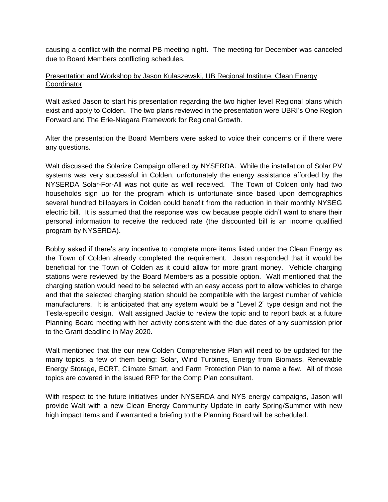causing a conflict with the normal PB meeting night. The meeting for December was canceled due to Board Members conflicting schedules.

## Presentation and Workshop by Jason Kulaszewski, UB Regional Institute, Clean Energy **Coordinator**

Walt asked Jason to start his presentation regarding the two higher level Regional plans which exist and apply to Colden. The two plans reviewed in the presentation were UBRI's One Region Forward and The Erie-Niagara Framework for Regional Growth.

After the presentation the Board Members were asked to voice their concerns or if there were any questions.

Walt discussed the Solarize Campaign offered by NYSERDA. While the installation of Solar PV systems was very successful in Colden, unfortunately the energy assistance afforded by the NYSERDA Solar-For-All was not quite as well received. The Town of Colden only had two households sign up for the program which is unfortunate since based upon demographics several hundred billpayers in Colden could benefit from the reduction in their monthly NYSEG electric bill. It is assumed that the response was low because people didn't want to share their personal information to receive the reduced rate (the discounted bill is an income qualified program by NYSERDA).

Bobby asked if there's any incentive to complete more items listed under the Clean Energy as the Town of Colden already completed the requirement. Jason responded that it would be beneficial for the Town of Colden as it could allow for more grant money. Vehicle charging stations were reviewed by the Board Members as a possible option. Walt mentioned that the charging station would need to be selected with an easy access port to allow vehicles to charge and that the selected charging station should be compatible with the largest number of vehicle manufacturers. It is anticipated that any system would be a "Level 2" type design and not the Tesla-specific design. Walt assigned Jackie to review the topic and to report back at a future Planning Board meeting with her activity consistent with the due dates of any submission prior to the Grant deadline in May 2020.

Walt mentioned that the our new Colden Comprehensive Plan will need to be updated for the many topics, a few of them being: Solar, Wind Turbines, Energy from Biomass, Renewable Energy Storage, ECRT, Climate Smart, and Farm Protection Plan to name a few. All of those topics are covered in the issued RFP for the Comp Plan consultant.

With respect to the future initiatives under NYSERDA and NYS energy campaigns, Jason will provide Walt with a new Clean Energy Community Update in early Spring/Summer with new high impact items and if warranted a briefing to the Planning Board will be scheduled.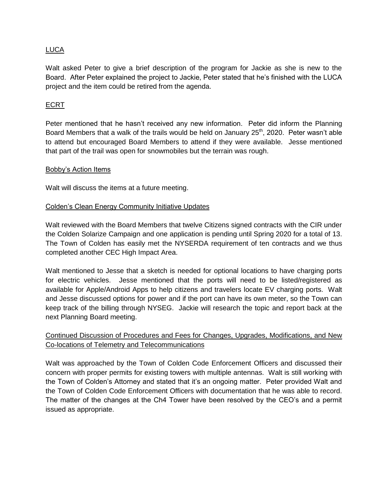## LUCA

Walt asked Peter to give a brief description of the program for Jackie as she is new to the Board. After Peter explained the project to Jackie, Peter stated that he's finished with the LUCA project and the item could be retired from the agenda.

## ECRT

Peter mentioned that he hasn't received any new information. Peter did inform the Planning Board Members that a walk of the trails would be held on January  $25<sup>th</sup>$ , 2020. Peter wasn't able to attend but encouraged Board Members to attend if they were available. Jesse mentioned that part of the trail was open for snowmobiles but the terrain was rough.

### Bobby's Action Items

Walt will discuss the items at a future meeting.

### Colden's Clean Energy Community Initiative Updates

Walt reviewed with the Board Members that twelve Citizens signed contracts with the CIR under the Colden Solarize Campaign and one application is pending until Spring 2020 for a total of 13. The Town of Colden has easily met the NYSERDA requirement of ten contracts and we thus completed another CEC High Impact Area.

Walt mentioned to Jesse that a sketch is needed for optional locations to have charging ports for electric vehicles. Jesse mentioned that the ports will need to be listed/registered as available for Apple/Android Apps to help citizens and travelers locate EV charging ports. Walt and Jesse discussed options for power and if the port can have its own meter, so the Town can keep track of the billing through NYSEG. Jackie will research the topic and report back at the next Planning Board meeting.

# Continued Discussion of Procedures and Fees for Changes, Upgrades, Modifications, and New Co-locations of Telemetry and Telecommunications

Walt was approached by the Town of Colden Code Enforcement Officers and discussed their concern with proper permits for existing towers with multiple antennas. Walt is still working with the Town of Colden's Attorney and stated that it's an ongoing matter. Peter provided Walt and the Town of Colden Code Enforcement Officers with documentation that he was able to record. The matter of the changes at the Ch4 Tower have been resolved by the CEO's and a permit issued as appropriate.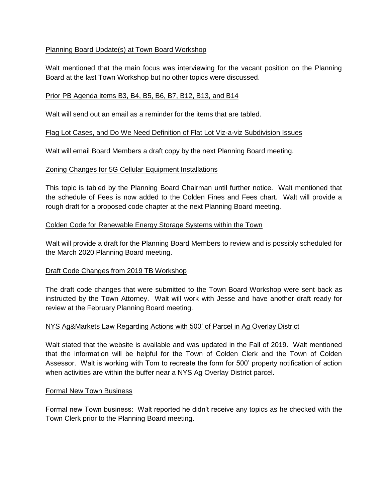# Planning Board Update(s) at Town Board Workshop

Walt mentioned that the main focus was interviewing for the vacant position on the Planning Board at the last Town Workshop but no other topics were discussed.

## Prior PB Agenda items B3, B4, B5, B6, B7, B12, B13, and B14

Walt will send out an email as a reminder for the items that are tabled.

### Flag Lot Cases, and Do We Need Definition of Flat Lot Viz-a-viz Subdivision Issues

Walt will email Board Members a draft copy by the next Planning Board meeting.

### Zoning Changes for 5G Cellular Equipment Installations

This topic is tabled by the Planning Board Chairman until further notice. Walt mentioned that the schedule of Fees is now added to the Colden Fines and Fees chart. Walt will provide a rough draft for a proposed code chapter at the next Planning Board meeting.

### Colden Code for Renewable Energy Storage Systems within the Town

Walt will provide a draft for the Planning Board Members to review and is possibly scheduled for the March 2020 Planning Board meeting.

#### Draft Code Changes from 2019 TB Workshop

The draft code changes that were submitted to the Town Board Workshop were sent back as instructed by the Town Attorney. Walt will work with Jesse and have another draft ready for review at the February Planning Board meeting.

#### NYS Ag&Markets Law Regarding Actions with 500' of Parcel in Ag Overlay District

Walt stated that the website is available and was updated in the Fall of 2019. Walt mentioned that the information will be helpful for the Town of Colden Clerk and the Town of Colden Assessor. Walt is working with Tom to recreate the form for 500' property notification of action when activities are within the buffer near a NYS Ag Overlay District parcel.

#### Formal New Town Business

Formal new Town business: Walt reported he didn't receive any topics as he checked with the Town Clerk prior to the Planning Board meeting.